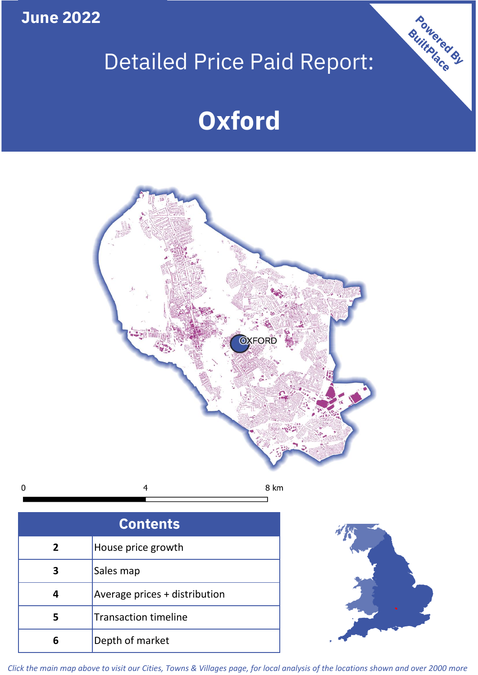**June 2022**

# Detailed Price Paid Report:

# **Oxford**



| <b>Contents</b> |                               |  |  |
|-----------------|-------------------------------|--|--|
| $\mathbf{2}$    | House price growth            |  |  |
| ว               | Sales map                     |  |  |
|                 | Average prices + distribution |  |  |
| 5               | <b>Transaction timeline</b>   |  |  |
| 6               | Depth of market               |  |  |



Powered By

*Click the main map above to visit our Cities, Towns & Villages page, for local analysis of the locations shown and over 2000 more*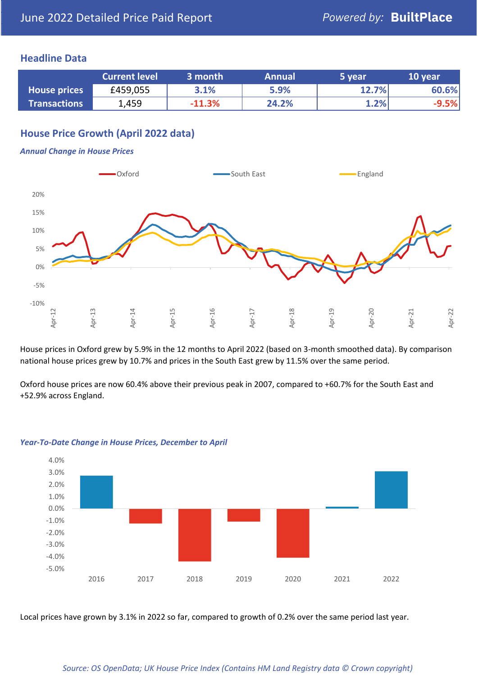### **Headline Data**

|                     | <b>Current level</b> | 3 month  | <b>Annual</b> | 5 year | 10 year |
|---------------------|----------------------|----------|---------------|--------|---------|
| <b>House prices</b> | £459,055             | 3.1%     | 5.9%          | 12.7%  | 60.6%   |
| <b>Transactions</b> | 1,459                | $-11.3%$ | 24.2%         | 1.2%   | $-9.5%$ |

# **House Price Growth (April 2022 data)**

#### *Annual Change in House Prices*



House prices in Oxford grew by 5.9% in the 12 months to April 2022 (based on 3-month smoothed data). By comparison national house prices grew by 10.7% and prices in the South East grew by 11.5% over the same period.

Oxford house prices are now 60.4% above their previous peak in 2007, compared to +60.7% for the South East and +52.9% across England.



#### *Year-To-Date Change in House Prices, December to April*

Local prices have grown by 3.1% in 2022 so far, compared to growth of 0.2% over the same period last year.

#### *Source: OS OpenData; UK House Price Index (Contains HM Land Registry data © Crown copyright)*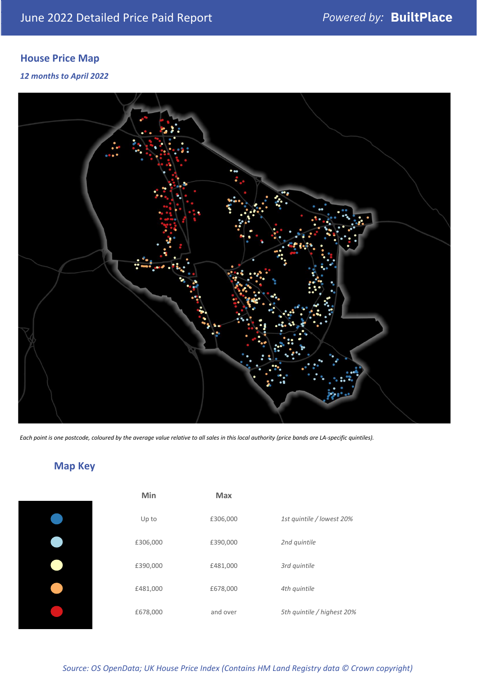# **House Price Map**

### *12 months to April 2022*



*Each point is one postcode, coloured by the average value relative to all sales in this local authority (price bands are LA-specific quintiles).*

# **Map Key**

| Min      | <b>Max</b> |                            |
|----------|------------|----------------------------|
| Up to    | £306,000   | 1st quintile / lowest 20%  |
| £306,000 | £390,000   | 2nd quintile               |
| £390,000 | £481,000   | 3rd quintile               |
| £481,000 | £678,000   | 4th quintile               |
| £678,000 | and over   | 5th quintile / highest 20% |

# *Source: OS OpenData; UK House Price Index (Contains HM Land Registry data © Crown copyright)*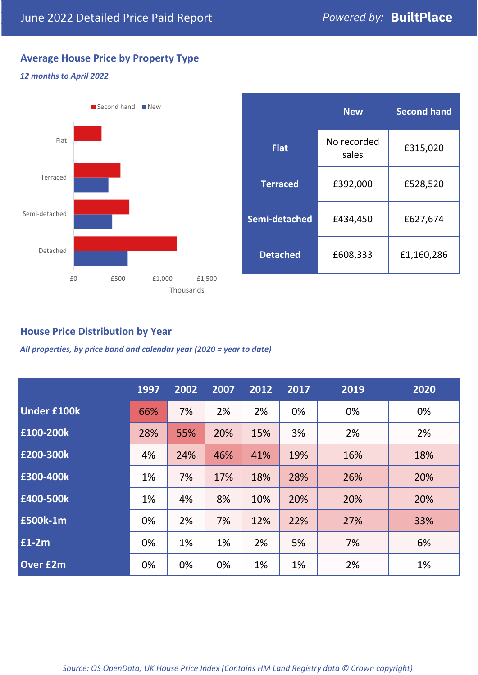# **Average House Price by Property Type**

#### *12 months to April 2022*



|                 | <b>New</b>           | <b>Second hand</b> |  |  |
|-----------------|----------------------|--------------------|--|--|
| <b>Flat</b>     | No recorded<br>sales | £315,020           |  |  |
| <b>Terraced</b> | £392,000             | £528,520           |  |  |
| Semi-detached   | £434,450             | £627,674           |  |  |
| <b>Detached</b> | £608,333             | £1,160,286         |  |  |

# **House Price Distribution by Year**

*All properties, by price band and calendar year (2020 = year to date)*

|                    | 1997 | 2002 | 2007 | 2012 | 2017 | 2019 | 2020 |
|--------------------|------|------|------|------|------|------|------|
| <b>Under £100k</b> | 66%  | 7%   | 2%   | 2%   | 0%   | 0%   | 0%   |
| £100-200k          | 28%  | 55%  | 20%  | 15%  | 3%   | 2%   | 2%   |
| E200-300k          | 4%   | 24%  | 46%  | 41%  | 19%  | 16%  | 18%  |
| £300-400k          | 1%   | 7%   | 17%  | 18%  | 28%  | 26%  | 20%  |
| £400-500k          | 1%   | 4%   | 8%   | 10%  | 20%  | 20%  | 20%  |
| <b>£500k-1m</b>    | 0%   | 2%   | 7%   | 12%  | 22%  | 27%  | 33%  |
| £1-2m              | 0%   | 1%   | 1%   | 2%   | 5%   | 7%   | 6%   |
| <b>Over £2m</b>    | 0%   | 0%   | 0%   | 1%   | 1%   | 2%   | 1%   |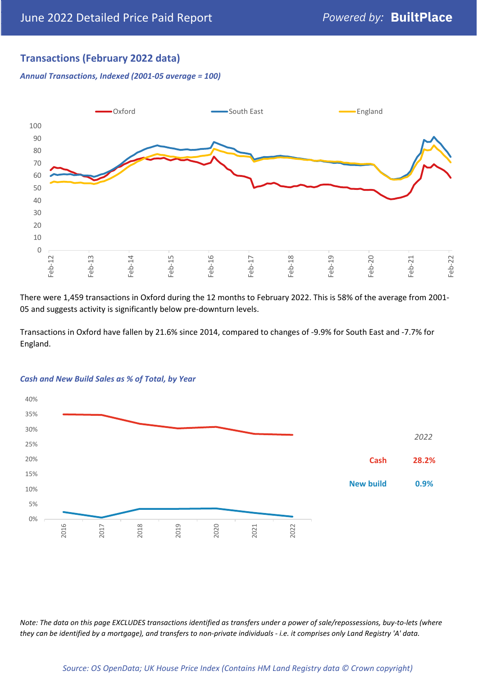# **Transactions (February 2022 data)**

*Annual Transactions, Indexed (2001-05 average = 100)*



There were 1,459 transactions in Oxford during the 12 months to February 2022. This is 58% of the average from 2001- 05 and suggests activity is significantly below pre-downturn levels.

Transactions in Oxford have fallen by 21.6% since 2014, compared to changes of -9.9% for South East and -7.7% for England.



#### *Cash and New Build Sales as % of Total, by Year*

*Note: The data on this page EXCLUDES transactions identified as transfers under a power of sale/repossessions, buy-to-lets (where they can be identified by a mortgage), and transfers to non-private individuals - i.e. it comprises only Land Registry 'A' data.*